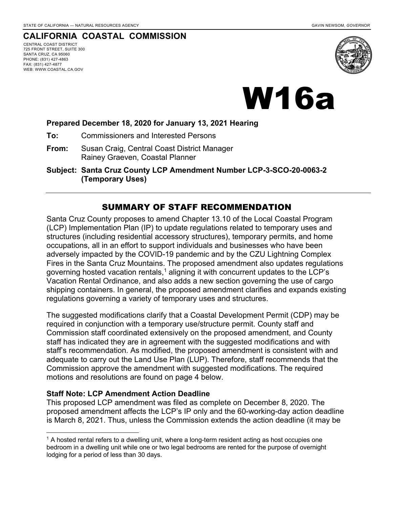### **CALIFORNIA COASTAL COMMISSION**

CENTRAL COAST DISTRICT 725 FRONT STREET, SUITE 300 SANTA CRUZ, CA 95060 PHONE: (831) 427-4863 FAX: (831) 427-4877 WEB: WWW.COASTAL.CA.GOV





#### **Prepared December 18, 2020 for January 13, 2021 Hearing**

- **To:** Commissioners and Interested Persons
- **From:** Susan Craig, Central Coast District Manager Rainey Graeven, Coastal Planner
- **Subject: Santa Cruz County LCP Amendment Number LCP-3-SCO-20-0063-2 (Temporary Uses)**

### SUMMARY OF STAFF RECOMMENDATION

Santa Cruz County proposes to amend Chapter 13.10 of the Local Coastal Program (LCP) Implementation Plan (IP) to update regulations related to temporary uses and structures (including residential accessory structures), temporary permits, and home occupations, all in an effort to support individuals and businesses who have been adversely impacted by the COVID-19 pandemic and by the CZU Lightning Complex Fires in the Santa Cruz Mountains. The proposed amendment also updates regulations governing hosted vacation rentals,<sup>1</sup> aligning it with concurrent updates to the LCP's Vacation Rental Ordinance, and also adds a new section governing the use of cargo shipping containers. In general, the proposed amendment clarifies and expands existing regulations governing a variety of temporary uses and structures.

The suggested modifications clarify that a Coastal Development Permit (CDP) may be required in conjunction with a temporary use/structure permit. County staff and Commission staff coordinated extensively on the proposed amendment, and County staff has indicated they are in agreement with the suggested modifications and with staff's recommendation. As modified, the proposed amendment is consistent with and adequate to carry out the Land Use Plan (LUP). Therefore, staff recommends that the Commission approve the amendment with suggested modifications. The required motions and resolutions are found on page 4 below.

#### **Staff Note: LCP Amendment Action Deadline**

This proposed LCP amendment was filed as complete on December 8, 2020. The proposed amendment affects the LCP's IP only and the 60-working-day action deadline is March 8, 2021. Thus, unless the Commission extends the action deadline (it may be

<sup>&</sup>lt;sup>1</sup> A hosted rental refers to a dwelling unit, where a long-term resident acting as host occupies one bedroom in a dwelling unit while one or two legal bedrooms are rented for the purpose of overnight lodging for a period of less than 30 days.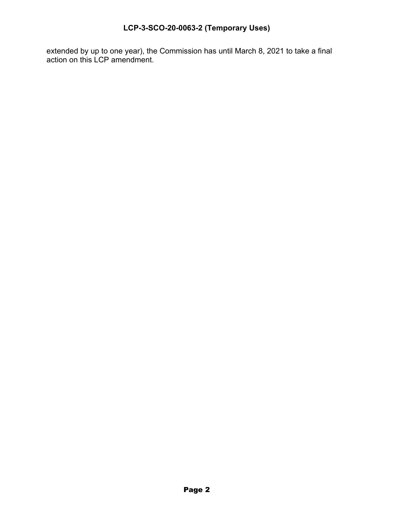# **LCP-3-SCO-20-0063-2 (Temporary Uses)**

extended by up to one year), the Commission has until March 8, 2021 to take a final action on this LCP amendment.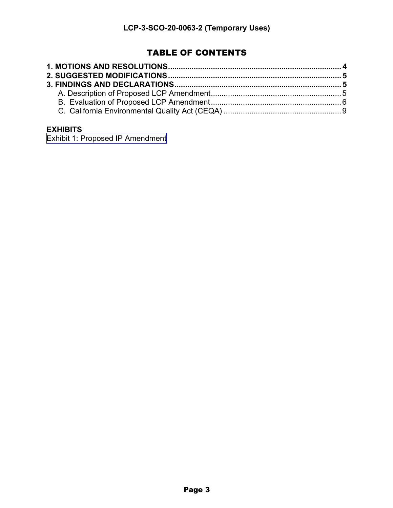# TABLE OF CONTENTS

## **EXHIBITS**

[Exhibit 1: Proposed IP Amendment](https://documents.coastal.ca.gov/reports/2021/1/w16a/w16a-1-2021-report.pdf)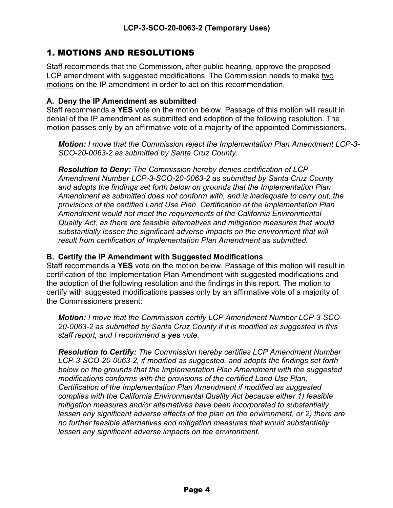# 1. MOTIONS AND RESOLUTIONS

Staff recommends that the Commission, after public hearing, approve the proposed LCP amendment with suggested modifications. The Commission needs to make two motions on the IP amendment in order to act on this recommendation.

#### **A. Deny the IP Amendment as submitted**

Staff recommends a **YES** vote on the motion below. Passage of this motion will result in denial of the IP amendment as submitted and adoption of the following resolution. The motion passes only by an affirmative vote of a majority of the appointed Commissioners.

*Motion: I move that the Commission reject the Implementation Plan Amendment LCP-3- SCO-20-0063-2 as submitted by Santa Cruz County.*

*Resolution to Deny: The Commission hereby denies certification of LCP Amendment Number LCP-3-SCO-20-0063-2 as submitted by Santa Cruz County and adopts the findings set forth below on grounds that the Implementation Plan Amendment as submitted does not conform with, and is inadequate to carry out, the provisions of the certified Land Use Plan. Certification of the Implementation Plan Amendment would not meet the requirements of the California Environmental Quality Act, as there are feasible alternatives and mitigation measures that would substantially lessen the significant adverse impacts on the environment that will result from certification of Implementation Plan Amendment as submitted.*

#### **B. Certify the IP Amendment with Suggested Modifications**

Staff recommends a **YES** vote on the motion below. Passage of this motion will result in certification of the Implementation Plan Amendment with suggested modifications and the adoption of the following resolution and the findings in this report. The motion to certify with suggested modifications passes only by an affirmative vote of a majority of the Commissioners present:

*Motion: I move that the Commission certify LCP Amendment Number LCP-3-SCO-20-0063-2 as submitted by Santa Cruz County if it is modified as suggested in this staff report, and I recommend a yes vote.* 

*Resolution to Certify: The Commission hereby certifies LCP Amendment Number LCP-3-SCO-20-0063-2, if modified as suggested, and adopts the findings set forth below on the grounds that the Implementation Plan Amendment with the suggested modifications conforms with the provisions of the certified Land Use Plan. Certification of the Implementation Plan Amendment if modified as suggested complies with the California Environmental Quality Act because either 1) feasible mitigation measures and/or alternatives have been incorporated to substantially lessen any significant adverse effects of the plan on the environment, or 2) there are no further feasible alternatives and mitigation measures that would substantially lessen any significant adverse impacts on the environment.*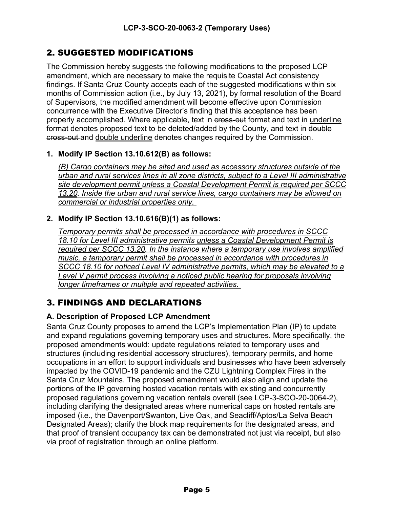# 2. SUGGESTED MODIFICATIONS

The Commission hereby suggests the following modifications to the proposed LCP amendment, which are necessary to make the requisite Coastal Act consistency findings. If Santa Cruz County accepts each of the suggested modifications within six months of Commission action (i.e., by July 13, 2021), by formal resolution of the Board of Supervisors, the modified amendment will become effective upon Commission concurrence with the Executive Director's finding that this acceptance has been properly accomplished. Where applicable, text in cross-out format and text in underline format denotes proposed text to be deleted/added by the County, and text in  $\frac{d}{dt}$ eross-out-and double underline denotes changes required by the Commission.

### **1. Modify IP Section 13.10.612(B) as follows:**

*(B) Cargo containers may be sited and used as accessory structures outside of the urban and rural services lines in all zone districts, subject to a Level III administrative site development permit unless a Coastal Development Permit is required per SCCC 13.20. Inside the urban and rural service lines, cargo containers may be allowed on commercial or industrial properties only.*

### **2. Modify IP Section 13.10.616(B)(1) as follows:**

*Temporary permits shall be processed in accordance with procedures in SCCC 18.10 for Level III administrative permits unless a Coastal Development Permit is required per SCCC 13.20. In the instance where a temporary use involves amplified music, a temporary permit shall be processed in accordance with procedures in SCCC 18.10 for noticed Level IV administrative permits, which may be elevated to a Level V permit process involving a noticed public hearing for proposals involving longer timeframes or multiple and repeated activities.*

# 3. FINDINGS AND DECLARATIONS

### **A. Description of Proposed LCP Amendment**

Santa Cruz County proposes to amend the LCP's Implementation Plan (IP) to update and expand regulations governing temporary uses and structures. More specifically, the proposed amendments would: update regulations related to temporary uses and structures (including residential accessory structures), temporary permits, and home occupations in an effort to support individuals and businesses who have been adversely impacted by the COVID-19 pandemic and the CZU Lightning Complex Fires in the Santa Cruz Mountains. The proposed amendment would also align and update the portions of the IP governing hosted vacation rentals with existing and concurrently proposed regulations governing vacation rentals overall (see LCP-3-SCO-20-0064-2), including clarifying the designated areas where numerical caps on hosted rentals are imposed (i.e., the Davenport/Swanton, Live Oak, and Seacliff/Aptos/La Selva Beach Designated Areas); clarify the block map requirements for the designated areas, and that proof of transient occupancy tax can be demonstrated not just via receipt, but also via proof of registration through an online platform.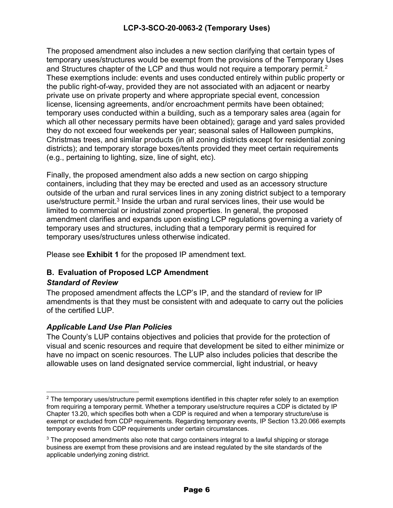### **LCP-3-SCO-20-0063-2 (Temporary Uses)**

The proposed amendment also includes a new section clarifying that certain types of temporary uses/structures would be exempt from the provisions of the Temporary Uses and Structures chapter of the LCP and thus would not require a temporary permit.<sup>2</sup> These exemptions include: events and uses conducted entirely within public property or the public right-of-way, provided they are not associated with an adjacent or nearby private use on private property and where appropriate special event, concession license, licensing agreements, and/or encroachment permits have been obtained; temporary uses conducted within a building, such as a temporary sales area (again for which all other necessary permits have been obtained); garage and yard sales provided they do not exceed four weekends per year; seasonal sales of Halloween pumpkins, Christmas trees, and similar products (in all zoning districts except for residential zoning districts); and temporary storage boxes/tents provided they meet certain requirements (e.g., pertaining to lighting, size, line of sight, etc).

Finally, the proposed amendment also adds a new section on cargo shipping containers, including that they may be erected and used as an accessory structure outside of the urban and rural services lines in any zoning district subject to a temporary use/structure permit.<sup>3</sup> Inside the urban and rural services lines, their use would be limited to commercial or industrial zoned properties. In general, the proposed amendment clarifies and expands upon existing LCP regulations governing a variety of temporary uses and structures, including that a temporary permit is required for temporary uses/structures unless otherwise indicated.

Please see **Exhibit 1** for the proposed IP amendment text.

### **B. Evaluation of Proposed LCP Amendment**

#### *Standard of Review*

The proposed amendment affects the LCP's IP, and the standard of review for IP amendments is that they must be consistent with and adequate to carry out the policies of the certified LUP.

#### *Applicable Land Use Plan Policies*

The County's LUP contains objectives and policies that provide for the protection of visual and scenic resources and require that development be sited to either minimize or have no impact on scenic resources. The LUP also includes policies that describe the allowable uses on land designated service commercial, light industrial, or heavy

 $2$  The temporary uses/structure permit exemptions identified in this chapter refer solely to an exemption from requiring a temporary permit. Whether a temporary use/structure requires a CDP is dictated by IP Chapter 13.20, which specifies both when a CDP is required and when a temporary structure/use is exempt or excluded from CDP requirements. Regarding temporary events, IP Section 13.20.066 exempts temporary events from CDP requirements under certain circumstances.

 $3$  The proposed amendments also note that cargo containers integral to a lawful shipping or storage business are exempt from these provisions and are instead regulated by the site standards of the applicable underlying zoning district.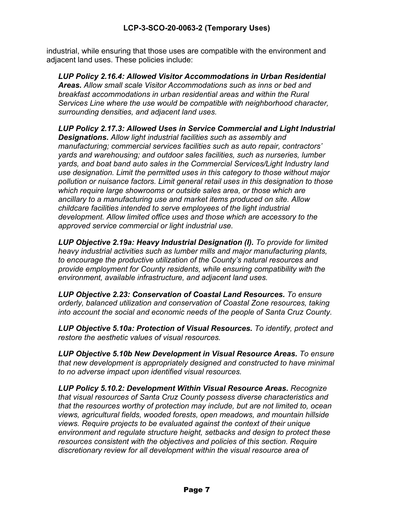industrial, while ensuring that those uses are compatible with the environment and adjacent land uses. These policies include:

*LUP Policy 2.16.4: Allowed Visitor Accommodations in Urban Residential Areas. Allow small scale Visitor Accommodations such as inns or bed and breakfast accommodations in urban residential areas and within the Rural Services Line where the use would be compatible with neighborhood character, surrounding densities, and adjacent land uses.* 

*LUP Policy 2.17.3: Allowed Uses in Service Commercial and Light Industrial Designations. Allow light industrial facilities such as assembly and manufacturing; commercial services facilities such as auto repair, contractors' yards and warehousing; and outdoor sales facilities, such as nurseries, lumber yards, and boat band auto sales in the Commercial Services/Light Industry land use designation. Limit the permitted uses in this category to those without major pollution or nuisance factors. Limit general retail uses in this designation to those which require large showrooms or outside sales area, or those which are ancillary to a manufacturing use and market items produced on site. Allow childcare facilities intended to serve employees of the light industrial development. Allow limited office uses and those which are accessory to the approved service commercial or light industrial use.* 

*LUP Objective 2.19a: Heavy Industrial Designation (I). To provide for limited heavy industrial activities such as lumber mills and major manufacturing plants, to encourage the productive utilization of the County's natural resources and provide employment for County residents, while ensuring compatibility with the environment, available infrastructure, and adjacent land uses.*

*LUP Objective 2.23: Conservation of Coastal Land Resources. To ensure orderly, balanced utilization and conservation of Coastal Zone resources, taking into account the social and economic needs of the people of Santa Cruz County.*

*LUP Objective 5.10a: Protection of Visual Resources. To identify, protect and restore the aesthetic values of visual resources.* 

*LUP Objective 5.10b New Development in Visual Resource Areas. To ensure that new development is appropriately designed and constructed to have minimal to no adverse impact upon identified visual resources.* 

*LUP Policy 5.10.2: Development Within Visual Resource Areas. Recognize that visual resources of Santa Cruz County possess diverse characteristics and that the resources worthy of protection may include, but are not limited to, ocean views, agricultural fields, wooded forests, open meadows, and mountain hillside views. Require projects to be evaluated against the context of their unique environment and regulate structure height, setbacks and design to protect these resources consistent with the objectives and policies of this section. Require discretionary review for all development within the visual resource area of*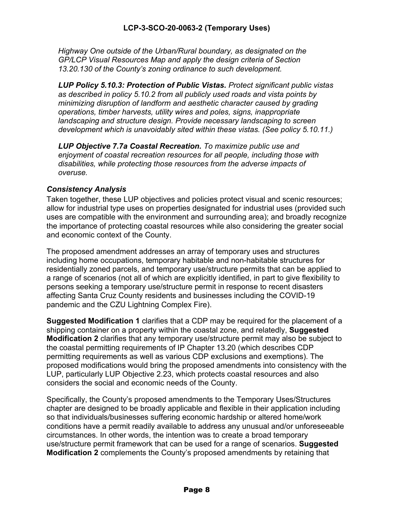*Highway One outside of the Urban/Rural boundary, as designated on the GP/LCP Visual Resources Map and apply the design criteria of Section 13.20.130 of the County's zoning ordinance to such development.* 

*LUP Policy 5.10.3: Protection of Public Vistas. Protect significant public vistas as described in policy 5.10.2 from all publicly used roads and vista points by minimizing disruption of landform and aesthetic character caused by grading operations, timber harvests, utility wires and poles, signs, inappropriate landscaping and structure design. Provide necessary landscaping to screen development which is unavoidably sited within these vistas. (See policy 5.10.11.)* 

*LUP Objective 7.7a Coastal Recreation. To maximize public use and enjoyment of coastal recreation resources for all people, including those with disabilities, while protecting those resources from the adverse impacts of overuse.* 

#### *Consistency Analysis*

Taken together, these LUP objectives and policies protect visual and scenic resources; allow for industrial type uses on properties designated for industrial uses (provided such uses are compatible with the environment and surrounding area); and broadly recognize the importance of protecting coastal resources while also considering the greater social and economic context of the County.

The proposed amendment addresses an array of temporary uses and structures including home occupations, temporary habitable and non-habitable structures for residentially zoned parcels, and temporary use/structure permits that can be applied to a range of scenarios (not all of which are explicitly identified, in part to give flexibility to persons seeking a temporary use/structure permit in response to recent disasters affecting Santa Cruz County residents and businesses including the COVID-19 pandemic and the CZU Lightning Complex Fire).

**Suggested Modification 1** clarifies that a CDP may be required for the placement of a shipping container on a property within the coastal zone, and relatedly, **Suggested Modification 2** clarifies that any temporary use/structure permit may also be subject to the coastal permitting requirements of IP Chapter 13.20 (which describes CDP permitting requirements as well as various CDP exclusions and exemptions). The proposed modifications would bring the proposed amendments into consistency with the LUP, particularly LUP Objective 2.23, which protects coastal resources and also considers the social and economic needs of the County.

Specifically, the County's proposed amendments to the Temporary Uses/Structures chapter are designed to be broadly applicable and flexible in their application including so that individuals/businesses suffering economic hardship or altered home/work conditions have a permit readily available to address any unusual and/or unforeseeable circumstances. In other words, the intention was to create a broad temporary use/structure permit framework that can be used for a range of scenarios. **Suggested Modification 2** complements the County's proposed amendments by retaining that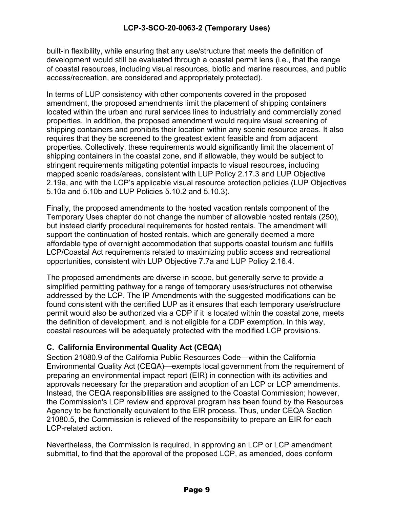### **LCP-3-SCO-20-0063-2 (Temporary Uses)**

built-in flexibility, while ensuring that any use/structure that meets the definition of development would still be evaluated through a coastal permit lens (i.e., that the range of coastal resources, including visual resources, biotic and marine resources, and public access/recreation, are considered and appropriately protected).

In terms of LUP consistency with other components covered in the proposed amendment, the proposed amendments limit the placement of shipping containers located within the urban and rural services lines to industrially and commercially zoned properties. In addition, the proposed amendment would require visual screening of shipping containers and prohibits their location within any scenic resource areas. It also requires that they be screened to the greatest extent feasible and from adjacent properties. Collectively, these requirements would significantly limit the placement of shipping containers in the coastal zone, and if allowable, they would be subject to stringent requirements mitigating potential impacts to visual resources, including mapped scenic roads/areas, consistent with LUP Policy 2.17.3 and LUP Objective 2.19a, and with the LCP's applicable visual resource protection policies (LUP Objectives 5.10a and 5.10b and LUP Policies 5.10.2 and 5.10.3).

Finally, the proposed amendments to the hosted vacation rentals component of the Temporary Uses chapter do not change the number of allowable hosted rentals (250), but instead clarify procedural requirements for hosted rentals. The amendment will support the continuation of hosted rentals, which are generally deemed a more affordable type of overnight accommodation that supports coastal tourism and fulfills LCP/Coastal Act requirements related to maximizing public access and recreational opportunities, consistent with LUP Objective 7.7a and LUP Policy 2.16.4.

The proposed amendments are diverse in scope, but generally serve to provide a simplified permitting pathway for a range of temporary uses/structures not otherwise addressed by the LCP. The IP Amendments with the suggested modifications can be found consistent with the certified LUP as it ensures that each temporary use/structure permit would also be authorized via a CDP if it is located within the coastal zone, meets the definition of development, and is not eligible for a CDP exemption. In this way, coastal resources will be adequately protected with the modified LCP provisions.

### **C. California Environmental Quality Act (CEQA)**

Section 21080.9 of the California Public Resources Code—within the California Environmental Quality Act (CEQA)—exempts local government from the requirement of preparing an environmental impact report (EIR) in connection with its activities and approvals necessary for the preparation and adoption of an LCP or LCP amendments. Instead, the CEQA responsibilities are assigned to the Coastal Commission; however, the Commission's LCP review and approval program has been found by the Resources Agency to be functionally equivalent to the EIR process. Thus, under CEQA Section 21080.5, the Commission is relieved of the responsibility to prepare an EIR for each LCP-related action.

Nevertheless, the Commission is required, in approving an LCP or LCP amendment submittal, to find that the approval of the proposed LCP, as amended, does conform